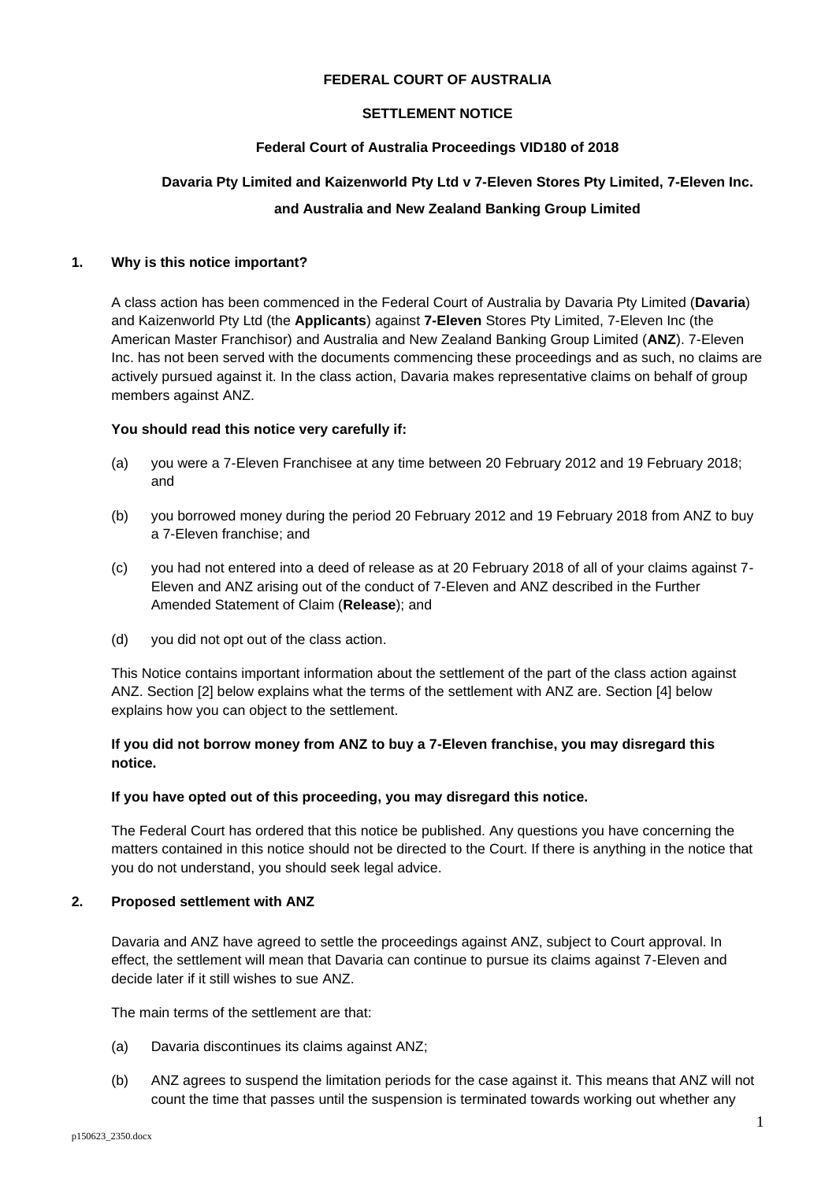## **FEDERAL COURT OF AUSTRALIA**

## **SETTLEMENT NOTICE**

## **Federal Court of Australia Proceedings VID180 of 2018**

# **Davaria Pty Limited and Kaizenworld Pty Ltd v 7-Eleven Stores Pty Limited, 7-Eleven Inc. and Australia and New Zealand Banking Group Limited**

## **1. Why is this notice important?**

A class action has been commenced in the Federal Court of Australia by Davaria Pty Limited (**Davaria**) and Kaizenworld Pty Ltd (the **Applicants**) against **7-Eleven** Stores Pty Limited, 7-Eleven Inc (the American Master Franchisor) and Australia and New Zealand Banking Group Limited (**ANZ**). 7-Eleven Inc. has not been served with the documents commencing these proceedings and as such, no claims are actively pursued against it. In the class action, Davaria makes representative claims on behalf of group members against ANZ.

## **You should read this notice very carefully if:**

- (a) you were a 7-Eleven Franchisee at any time between 20 February 2012 and 19 February 2018; and
- (b) you borrowed money during the period 20 February 2012 and 19 February 2018 from ANZ to buy a 7-Eleven franchise; and
- (c) you had not entered into a deed of release as at 20 February 2018 of all of your claims against 7- Eleven and ANZ arising out of the conduct of 7-Eleven and ANZ described in the Further Amended Statement of Claim (**Release**); and
- (d) you did not opt out of the class action.

This Notice contains important information about the settlement of the part of the class action against ANZ. Section [2] below explains what the terms of the settlement with ANZ are. Section [4] below explains how you can object to the settlement.

## **If you did not borrow money from ANZ to buy a 7-Eleven franchise, you may disregard this notice.**

#### **If you have opted out of this proceeding, you may disregard this notice.**

The Federal Court has ordered that this notice be published. Any questions you have concerning the matters contained in this notice should not be directed to the Court. If there is anything in the notice that you do not understand, you should seek legal advice.

## **2. Proposed settlement with ANZ**

Davaria and ANZ have agreed to settle the proceedings against ANZ, subject to Court approval. In effect, the settlement will mean that Davaria can continue to pursue its claims against 7-Eleven and decide later if it still wishes to sue ANZ.

The main terms of the settlement are that:

- (a) Davaria discontinues its claims against ANZ;
- (b) ANZ agrees to suspend the limitation periods for the case against it. This means that ANZ will not count the time that passes until the suspension is terminated towards working out whether any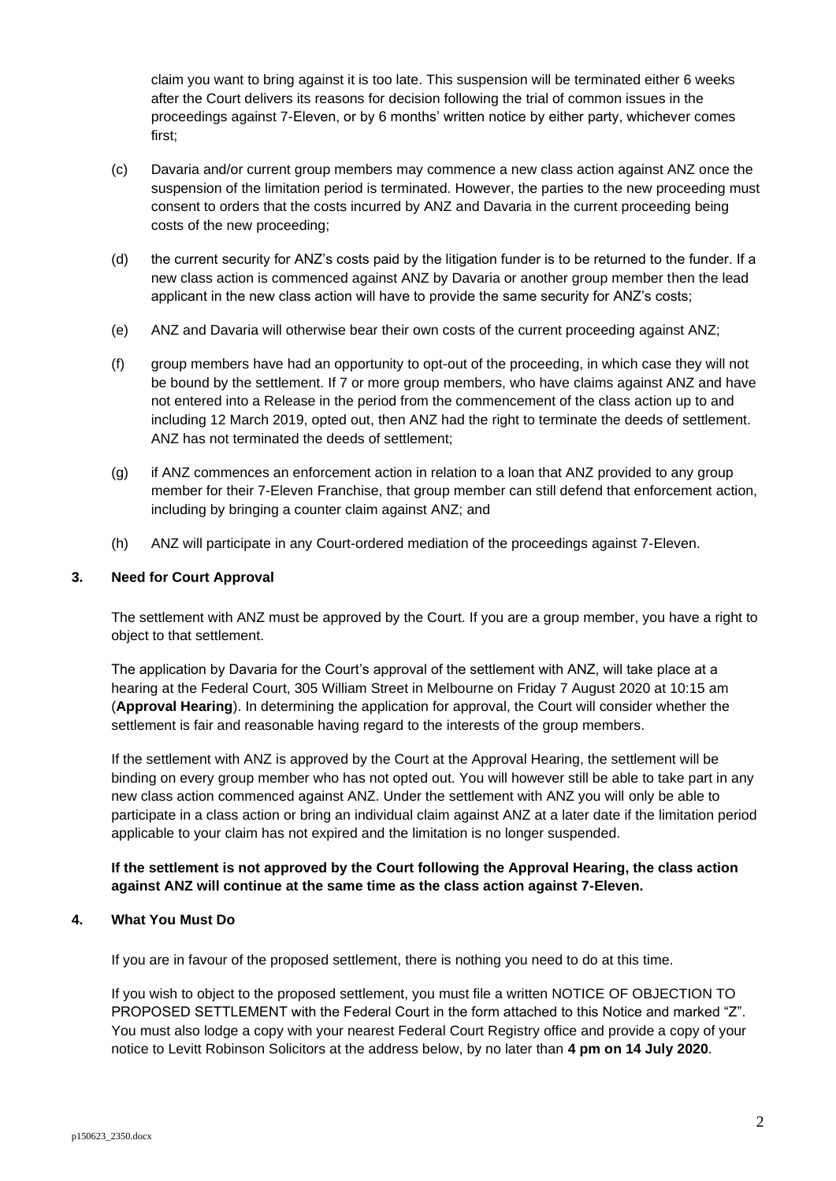claim you want to bring against it is too late. This suspension will be terminated either 6 weeks after the Court delivers its reasons for decision following the trial of common issues in the proceedings against 7-Eleven, or by 6 months' written notice by either party, whichever comes first;

- (c) Davaria and/or current group members may commence a new class action against ANZ once the suspension of the limitation period is terminated. However, the parties to the new proceeding must consent to orders that the costs incurred by ANZ and Davaria in the current proceeding being costs of the new proceeding;
- (d) the current security for ANZ's costs paid by the litigation funder is to be returned to the funder. If a new class action is commenced against ANZ by Davaria or another group member then the lead applicant in the new class action will have to provide the same security for ANZ's costs;
- (e) ANZ and Davaria will otherwise bear their own costs of the current proceeding against ANZ;
- (f) group members have had an opportunity to opt-out of the proceeding, in which case they will not be bound by the settlement. If 7 or more group members, who have claims against ANZ and have not entered into a Release in the period from the commencement of the class action up to and including 12 March 2019, opted out, then ANZ had the right to terminate the deeds of settlement. ANZ has not terminated the deeds of settlement;
- (g) if ANZ commences an enforcement action in relation to a loan that ANZ provided to any group member for their 7-Eleven Franchise, that group member can still defend that enforcement action, including by bringing a counter claim against ANZ; and
- (h) ANZ will participate in any Court-ordered mediation of the proceedings against 7-Eleven.

## **3. Need for Court Approval**

The settlement with ANZ must be approved by the Court. If you are a group member, you have a right to object to that settlement.

The application by Davaria for the Court's approval of the settlement with ANZ, will take place at a hearing at the Federal Court, 305 William Street in Melbourne on Friday 7 August 2020 at 10:15 am (**Approval Hearing**). In determining the application for approval, the Court will consider whether the settlement is fair and reasonable having regard to the interests of the group members.

If the settlement with ANZ is approved by the Court at the Approval Hearing, the settlement will be binding on every group member who has not opted out. You will however still be able to take part in any new class action commenced against ANZ. Under the settlement with ANZ you will only be able to participate in a class action or bring an individual claim against ANZ at a later date if the limitation period applicable to your claim has not expired and the limitation is no longer suspended.

## **If the settlement is not approved by the Court following the Approval Hearing, the class action against ANZ will continue at the same time as the class action against 7-Eleven.**

## **4. What You Must Do**

If you are in favour of the proposed settlement, there is nothing you need to do at this time.

If you wish to object to the proposed settlement, you must file a written NOTICE OF OBJECTION TO PROPOSED SETTLEMENT with the Federal Court in the form attached to this Notice and marked "Z". You must also lodge a copy with your nearest Federal Court Registry office and provide a copy of your notice to Levitt Robinson Solicitors at the address below, by no later than **4 pm on 14 July 2020**.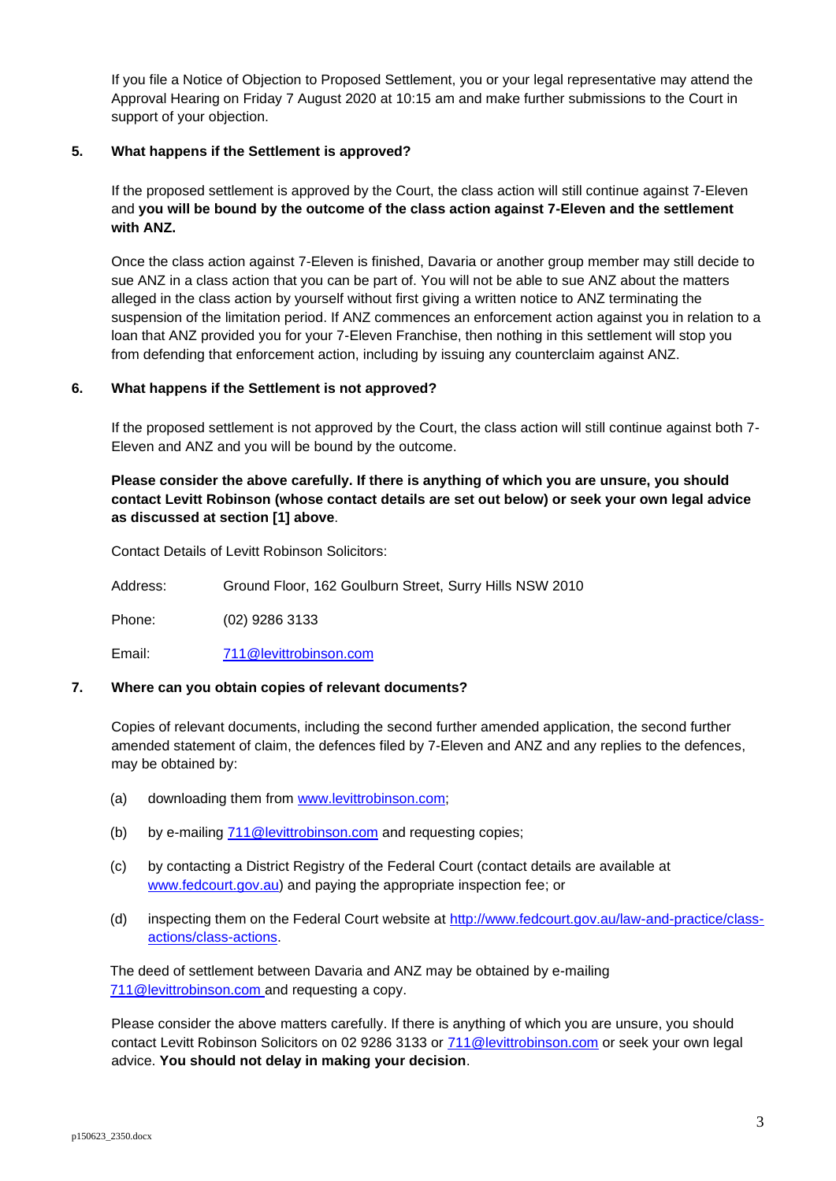If you file a Notice of Objection to Proposed Settlement, you or your legal representative may attend the Approval Hearing on Friday 7 August 2020 at 10:15 am and make further submissions to the Court in support of your objection.

## **5. What happens if the Settlement is approved?**

If the proposed settlement is approved by the Court, the class action will still continue against 7-Eleven and **you will be bound by the outcome of the class action against 7-Eleven and the settlement with ANZ.** 

Once the class action against 7-Eleven is finished, Davaria or another group member may still decide to sue ANZ in a class action that you can be part of. You will not be able to sue ANZ about the matters alleged in the class action by yourself without first giving a written notice to ANZ terminating the suspension of the limitation period. If ANZ commences an enforcement action against you in relation to a loan that ANZ provided you for your 7-Eleven Franchise, then nothing in this settlement will stop you from defending that enforcement action, including by issuing any counterclaim against ANZ.

## **6. What happens if the Settlement is not approved?**

If the proposed settlement is not approved by the Court, the class action will still continue against both 7- Eleven and ANZ and you will be bound by the outcome.

# **Please consider the above carefully. If there is anything of which you are unsure, you should contact Levitt Robinson (whose contact details are set out below) or seek your own legal advice as discussed at section [1] above**.

Contact Details of Levitt Robinson Solicitors:

Address: Ground Floor, 162 Goulburn Street, Surry Hills NSW 2010

Phone: (02) 9286 3133

Email: [711@levittrobinson.com](mailto:711@levittrobinson.com)

## **7. Where can you obtain copies of relevant documents?**

Copies of relevant documents, including the second further amended application, the second further amended statement of claim, the defences filed by 7-Eleven and ANZ and any replies to the defences, may be obtained by:

- (a) downloading them from [www.levittrobinson.com;](http://www.levittrobinson.com/)
- (b) by e-mailing [711@levittrobinson.com](mailto:711@levittrobinson.com) and requesting copies;
- (c) by contacting a District Registry of the Federal Court (contact details are available at [www.fedcourt.gov.au\)](http://www.fedcourt.gov.au/) and paying the appropriate inspection fee; or
- (d) inspecting them on the Federal Court website at [http://www.fedcourt.gov.au/law-and-practice/class](http://www.fedcourt.gov.au/law-and-practice/class-actions/class-actions)[actions/class-actions.](http://www.fedcourt.gov.au/law-and-practice/class-actions/class-actions)

The deed of settlement between Davaria and ANZ may be obtained by e-mailing [711@levittrobinson.com](mailto:711@levittrobinson.com) and requesting a copy.

Please consider the above matters carefully. If there is anything of which you are unsure, you should contact Levitt Robinson Solicitors on 02 9286 3133 or [711@levittrobinson.com](mailto:711@levittrobinson.com) or seek your own legal advice. **You should not delay in making your decision**.